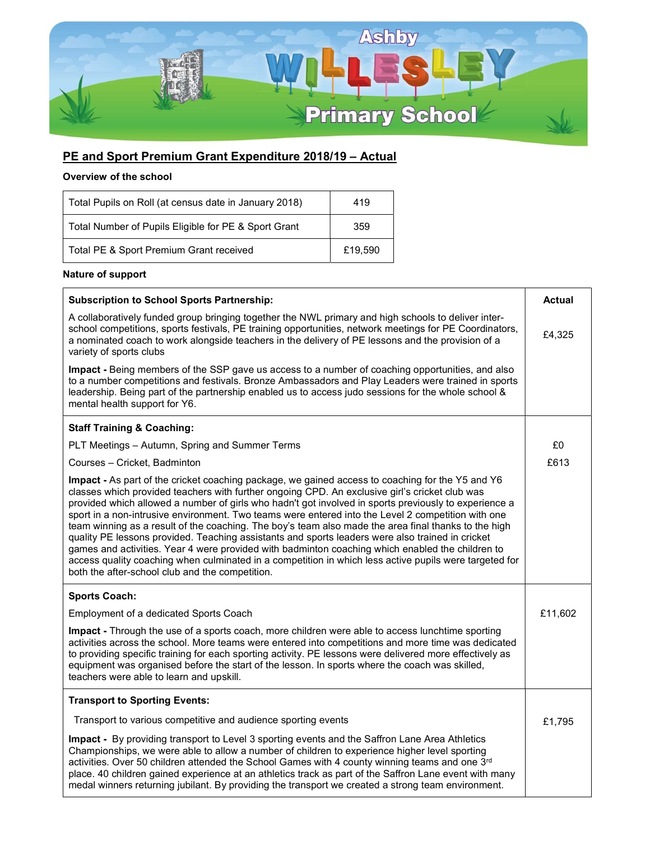

## PE and Sport Premium Grant Expenditure 2018/19 - Actual

## Overview of the school

| Total Pupils on Roll (at census date in January 2018) | 419     |
|-------------------------------------------------------|---------|
| Total Number of Pupils Eligible for PE & Sport Grant  | 359     |
| Total PE & Sport Premium Grant received               | £19.590 |

## Nature of support

| <b>Subscription to School Sports Partnership:</b>                                                                                                                                                                                                                                                                                                                                                                                                                                                                                                                                                                                                                                                                                                                                                                                                                                              | <b>Actual</b> |
|------------------------------------------------------------------------------------------------------------------------------------------------------------------------------------------------------------------------------------------------------------------------------------------------------------------------------------------------------------------------------------------------------------------------------------------------------------------------------------------------------------------------------------------------------------------------------------------------------------------------------------------------------------------------------------------------------------------------------------------------------------------------------------------------------------------------------------------------------------------------------------------------|---------------|
| A collaboratively funded group bringing together the NWL primary and high schools to deliver inter-<br>school competitions, sports festivals, PE training opportunities, network meetings for PE Coordinators,<br>a nominated coach to work alongside teachers in the delivery of PE lessons and the provision of a<br>variety of sports clubs                                                                                                                                                                                                                                                                                                                                                                                                                                                                                                                                                 | £4,325        |
| Impact - Being members of the SSP gave us access to a number of coaching opportunities, and also<br>to a number competitions and festivals. Bronze Ambassadors and Play Leaders were trained in sports<br>leadership. Being part of the partnership enabled us to access judo sessions for the whole school &<br>mental health support for Y6.                                                                                                                                                                                                                                                                                                                                                                                                                                                                                                                                                 |               |
| <b>Staff Training &amp; Coaching:</b>                                                                                                                                                                                                                                                                                                                                                                                                                                                                                                                                                                                                                                                                                                                                                                                                                                                          |               |
| PLT Meetings - Autumn, Spring and Summer Terms                                                                                                                                                                                                                                                                                                                                                                                                                                                                                                                                                                                                                                                                                                                                                                                                                                                 | £0            |
| Courses - Cricket, Badminton                                                                                                                                                                                                                                                                                                                                                                                                                                                                                                                                                                                                                                                                                                                                                                                                                                                                   | £613          |
| Impact - As part of the cricket coaching package, we gained access to coaching for the Y5 and Y6<br>classes which provided teachers with further ongoing CPD. An exclusive girl's cricket club was<br>provided which allowed a number of girls who hadn't got involved in sports previously to experience a<br>sport in a non-intrusive environment. Two teams were entered into the Level 2 competition with one<br>team winning as a result of the coaching. The boy's team also made the area final thanks to the high<br>quality PE lessons provided. Teaching assistants and sports leaders were also trained in cricket<br>games and activities. Year 4 were provided with badminton coaching which enabled the children to<br>access quality coaching when culminated in a competition in which less active pupils were targeted for<br>both the after-school club and the competition. |               |
| <b>Sports Coach:</b>                                                                                                                                                                                                                                                                                                                                                                                                                                                                                                                                                                                                                                                                                                                                                                                                                                                                           |               |
| Employment of a dedicated Sports Coach                                                                                                                                                                                                                                                                                                                                                                                                                                                                                                                                                                                                                                                                                                                                                                                                                                                         | £11,602       |
| Impact - Through the use of a sports coach, more children were able to access lunchtime sporting<br>activities across the school. More teams were entered into competitions and more time was dedicated<br>to providing specific training for each sporting activity. PE lessons were delivered more effectively as<br>equipment was organised before the start of the lesson. In sports where the coach was skilled,<br>teachers were able to learn and upskill.                                                                                                                                                                                                                                                                                                                                                                                                                              |               |
| <b>Transport to Sporting Events:</b>                                                                                                                                                                                                                                                                                                                                                                                                                                                                                                                                                                                                                                                                                                                                                                                                                                                           |               |
| Transport to various competitive and audience sporting events                                                                                                                                                                                                                                                                                                                                                                                                                                                                                                                                                                                                                                                                                                                                                                                                                                  | £1,795        |
| Impact - By providing transport to Level 3 sporting events and the Saffron Lane Area Athletics<br>Championships, we were able to allow a number of children to experience higher level sporting<br>activities. Over 50 children attended the School Games with 4 county winning teams and one 3rd<br>place. 40 children gained experience at an athletics track as part of the Saffron Lane event with many<br>medal winners returning jubilant. By providing the transport we created a strong team environment.                                                                                                                                                                                                                                                                                                                                                                              |               |